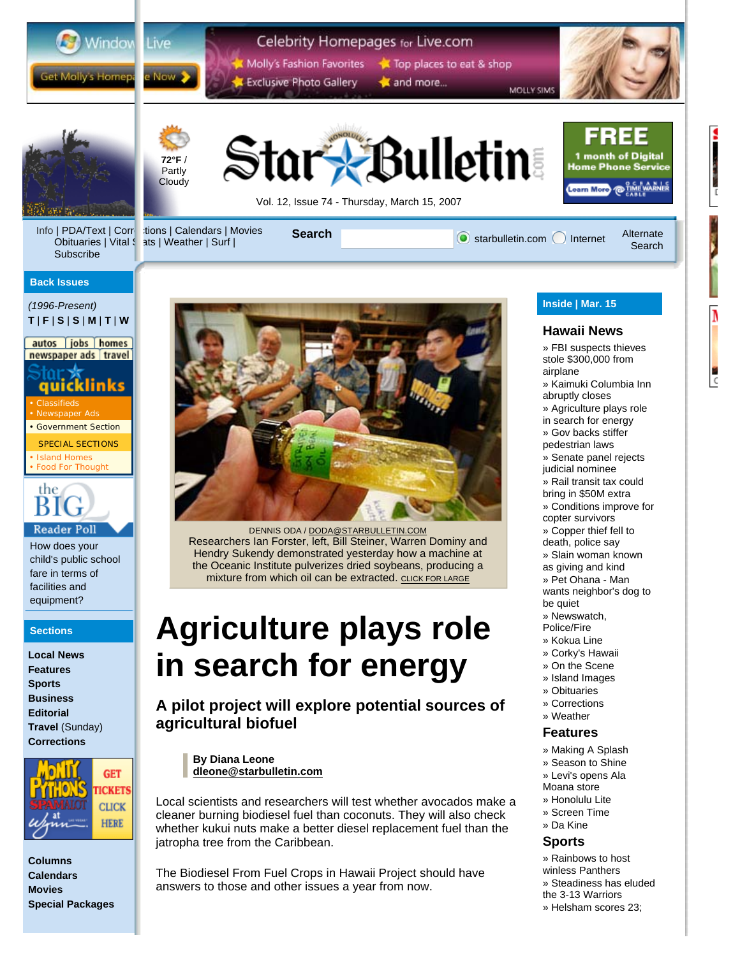



How does your child's public school fare in terms of facilities and equipment?

### **Sections**

**Local News Features Sports Business Editorial Travel** (Sunday) **Corrections**



**Columns Calendars Movies Special Packages**



**Agriculture plays role in search for energy** 

mixture from which oil can be extracted. CLICK FOR LARGE

# **A pilot project will explore potential sources of agricultural biofuel**

**By Diana Leone dleone@starbulletin.com**

Local scientists and researchers will test whether avocados make a cleaner burning biodiesel fuel than coconuts. They will also check whether kukui nuts make a better diesel replacement fuel than the jatropha tree from the Caribbean.

The Biodiesel From Fuel Crops in Hawaii Project should have answers to those and other issues a year from now.

judicial nominee » Rail transit tax could bring in \$50M extra » Conditions improve for copter survivors » Copper thief fell to death, police say » Slain woman known as giving and kind » Pet Ohana - Man wants neighbor's dog to be quiet » Newswatch, Police/Fire » Kokua Line

- » Corky's Hawaii
- » On the Scene
- » Island Images
- » Obituaries
- » Corrections
- » Weather

## **Features**

- » Making A Splash
- » Season to Shine » Levi's opens Ala
- Moana store » Honolulu Lite
- » Screen Time
- » Da Kine

# **Sports**

» Rainbows to host winless Panthers » Steadiness has eluded the 3-13 Warriors » Helsham scores 23;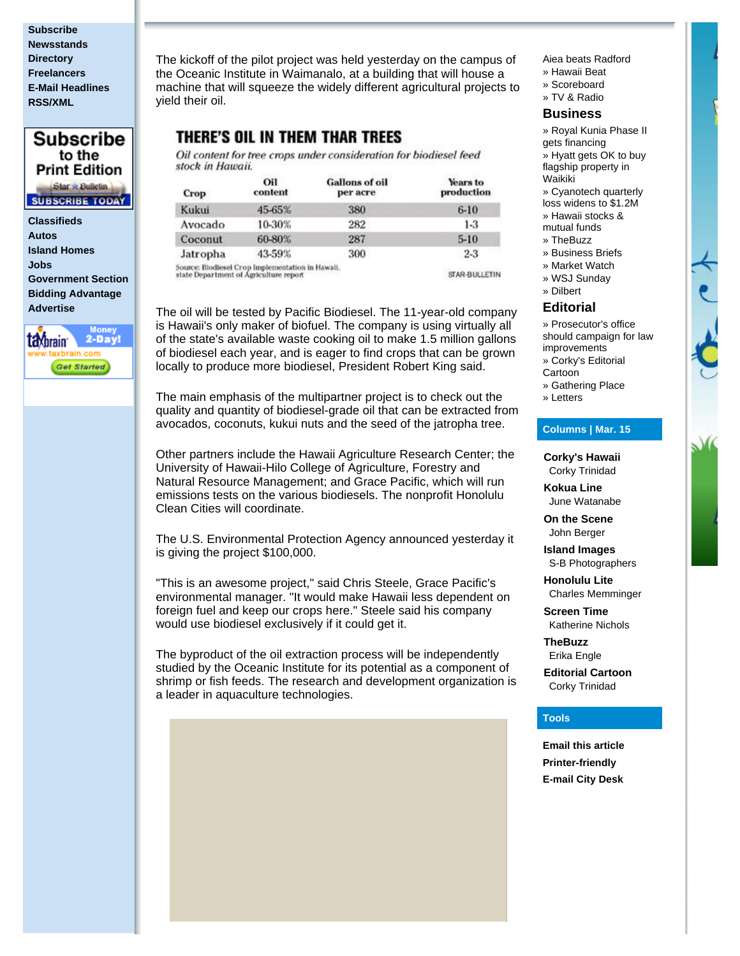**Subscribe Newsstands Directory Freelancers E-Mail Headlines RSS/XML**



**Classifieds Autos Island Homes Jobs Government Section Bidding Advantage Advertise**



The kickoff of the pilot project was held yesterday on the campus of the Oceanic Institute in Waimanalo, at a building that will house a machine that will squeeze the widely different agricultural projects to yield their oil.

# THERE'S OIL IN THEM THAR TREES

Oil content for tree crops under consideration for biodiesel feed stock in Hawaii.

| Years to<br>production |
|------------------------|
| $6 - 10$               |
| $1-3$                  |
| $5-10$                 |
| $2-3$                  |
| <b>STAR-BULLETIN</b>   |

The oil will be tested by Pacific Biodiesel. The 11-year-old company is Hawaii's only maker of biofuel. The company is using virtually all of the state's available waste cooking oil to make 1.5 million gallons of biodiesel each year, and is eager to find crops that can be grown locally to produce more biodiesel, President Robert King said.

The main emphasis of the multipartner project is to check out the quality and quantity of biodiesel-grade oil that can be extracted from avocados, coconuts, kukui nuts and the seed of the jatropha tree.

Other partners include the Hawaii Agriculture Research Center; the University of Hawaii-Hilo College of Agriculture, Forestry and Natural Resource Management; and Grace Pacific, which will run emissions tests on the various biodiesels. The nonprofit Honolulu Clean Cities will coordinate.

The U.S. Environmental Protection Agency announced yesterday it is giving the project \$100,000.

"This is an awesome project," said Chris Steele, Grace Pacific's environmental manager. "It would make Hawaii less dependent on foreign fuel and keep our crops here." Steele said his company would use biodiesel exclusively if it could get it.

The byproduct of the oil extraction process will be independently studied by the Oceanic Institute for its potential as a component of shrimp or fish feeds. The research and development organization is a leader in aquaculture technologies.

Aiea beats Radford

- » Hawaii Beat
- » Scoreboard » TV & Radio

## **Business**

» Royal Kunia Phase II gets financing » Hyatt gets OK to buy flagship property in Waikiki

» Cyanotech quarterly

loss widens to \$1.2M

» Hawaii stocks &

- mutual funds
- » TheBuzz
- » Business Briefs
- » Market Watch
- » WSJ Sunday
- » Dilbert

# **Editorial**

» Prosecutor's office should campaign for law improvements

 $\hat{\bm{c}}$ 

M

» Corky's Editorial

Cartoon

» Gathering Place

» Letters

### **Columns | Mar. 15**

**Corky's Hawaii**  Corky Trinidad

**Kokua Line**  June Watanabe

**On the Scene**  John Berger

**Island Images**  S-B Photographers

**Honolulu Lite**  Charles Memminger

**Screen Time**  Katherine Nichols

**TheBuzz**  Erika Engle

**Editorial Cartoon**  Corky Trinidad

## **Tools**

**Email this article Printer-friendly E-mail City Desk**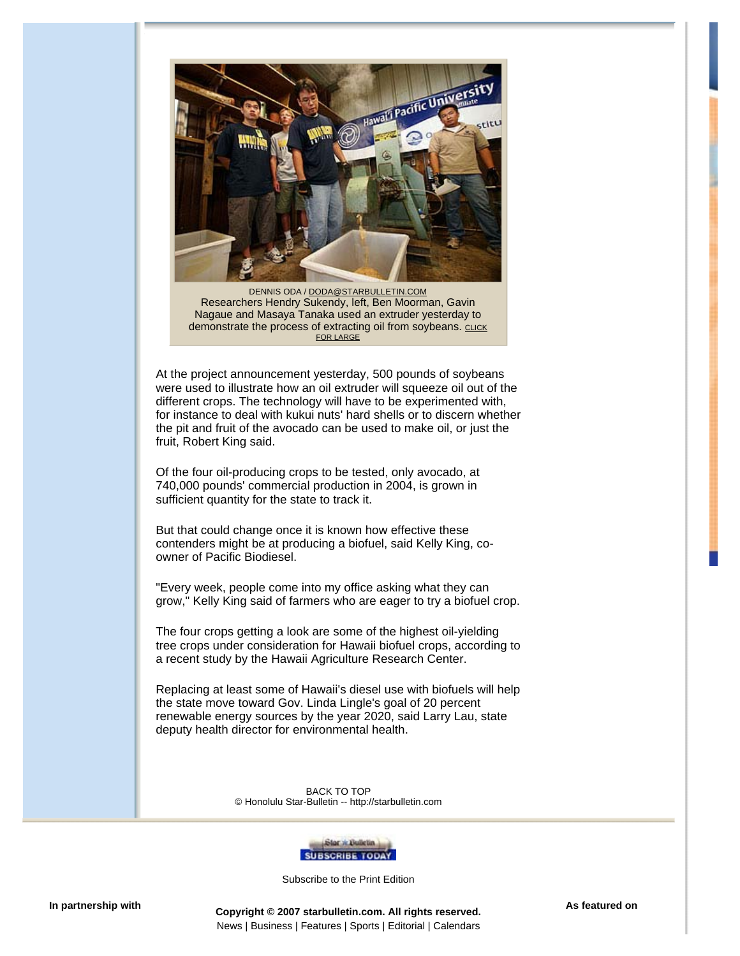

DENNIS ODA / DODA@STARBULLETIN.COM Researchers Hendry Sukendy, left, Ben Moorman, Gavin Nagaue and Masaya Tanaka used an extruder yesterday to demonstrate the process of extracting oil from soybeans. CLICK FOR LARGE

At the project announcement yesterday, 500 pounds of soybeans were used to illustrate how an oil extruder will squeeze oil out of the different crops. The technology will have to be experimented with, for instance to deal with kukui nuts' hard shells or to discern whether the pit and fruit of the avocado can be used to make oil, or just the fruit, Robert King said.

Of the four oil-producing crops to be tested, only avocado, at 740,000 pounds' commercial production in 2004, is grown in sufficient quantity for the state to track it.

But that could change once it is known how effective these contenders might be at producing a biofuel, said Kelly King, coowner of Pacific Biodiesel.

"Every week, people come into my office asking what they can grow," Kelly King said of farmers who are eager to try a biofuel crop.

The four crops getting a look are some of the highest oil-yielding tree crops under consideration for Hawaii biofuel crops, according to a recent study by the Hawaii Agriculture Research Center.

Replacing at least some of Hawaii's diesel use with biofuels will help the state move toward Gov. Linda Lingle's goal of 20 percent renewable energy sources by the year 2020, said Larry Lau, state deputy health director for environmental health.

> BACK TO TOP © Honolulu Star-Bulletin -- http://starbulletin.com



Subscribe to the Print Edition

**In partnership with Copyright © 2007 starbulletin.com. All rights reserved.** News | Business | Features | Sports | Editorial | Calendars

**As featured on**